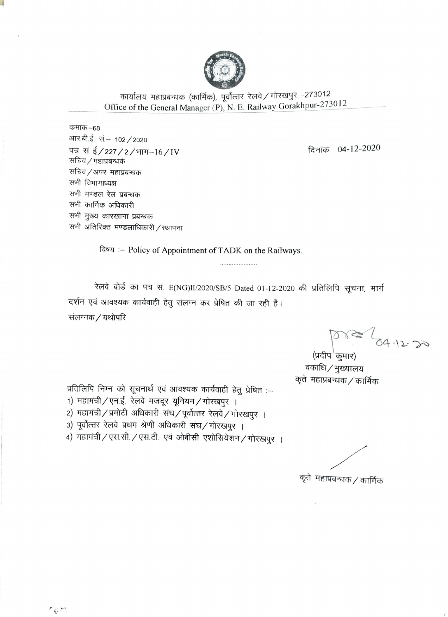

कार्यालय महाप्रबन्धक (कार्मिक), पूर्वोत्तर रेलवे / गोरखपुर –273012 Office of the General Manager (P), N. E. Railway Gorakhpur-273012

कमांक–68 आर.बी.ई. सं.– 102 / 2020 पत्र सं ई/227/2/भाग-16/IV सचिव / महाप्रबन्धकं सचिव/अपर महाप्रबन्धक सभी विभागाध्यक्ष सभी मण्डल रेल प्रबन्धक सभी कार्मिक अधिकारी सभी मुख्य कारखाना प्रबन्धक सभी अतिरिक्त मण्डलाधिकारी / स्थापना

 $\frac{1}{2}$ 

दिनांक 04-12-2020

विषय :- Policy of Appointment of TADK on the Railways.

रेलवे बोर्ड का पत्र सं. E(NG)II/2020/SB/5 Dated 01-12-2020 की प्रतिलिपि सूचना, मार्ग दर्शन एवं आवश्यक कार्यवाही हेतु संलग्न कर प्रेषित की जा रही है। संलग्नक / यथोपरि

.....................

013 64-12-20

(प्रदीप कूमार) वकाधि / मुख्यालय कृते महाप्रबन्धक / कार्मिक

प्रतिलिपि निम्न को सूचनार्थ एवं आवश्यक कार्यवाही हेतु प्रेषित :-1) महामंत्री / एन.ई. रेलवे मजदूर यूनियन / गोरखपुर । 2) महामंत्री/प्रमोटी अधिकारी संघ/पूर्वोत्तर रेलवे/गोरखपुर । 3) पूर्वोत्तर रेलवे प्रथम श्रेणी अधिकारी संघ/गोरखपुर ।

4) महामंत्री / एस.सी. / एस.टी. एवं ओबीसी एशोसियेशन / गोरखपुर ।

कृते महाप्रबन्धक / कार्मिक

 $\overline{\mathcal{L}}$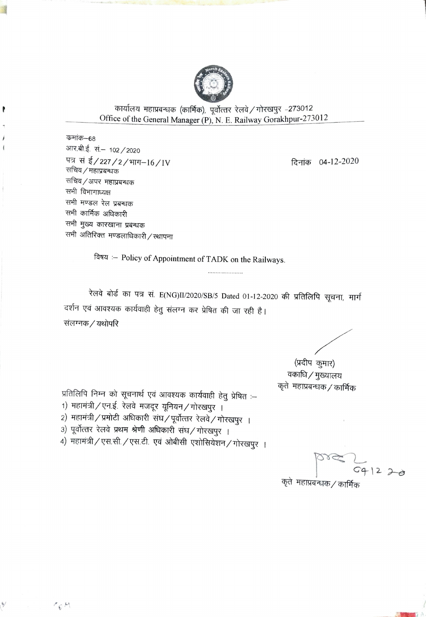

कार्यालय महाप्रबन्धक (कार्मिक), पूर्वोत्तर रेलवे / गोरखपुर -273012 Office of the General Manager (P), N. E. Railway Gorakhpur-273012

कमांक–68 आर.बी.ई. सं.– 102 / 2020 पत्र सं ई/227/2/भाग-16/IV सचिव / महाप्रबन्धक सचिव ⁄ अपर महाप्रबन्धक सभी विभागाध्यक्ष सभी मण्डल रेल प्रबन्धक सभी कार्मिक अधिकारी सभी मुख्य कारखाना प्रबन्धक सभी अतिरिक्त मण्डलाधिकारी / स्थापना

दिनांक 04-12-2020

विषय :- Policy of Appointment of TADK on the Railways.

रेलवे बोर्ड का पत्र सं. E(NG)II/2020/SB/5 Dated 01-12-2020 की प्रतिलिपि सूचना, मार्ग दर्शन एवं आवश्यक कार्यवाही हेतु संलग्न कर प्रेषित की जा रही है। संलग्नक / यथोपरि

(प्रदीप कुमार) वकाधि / मुख्यालय कृते महाप्रबन्धक / कार्मिक

प्रतिलिपि निम्न को सूचनार्थ एवं आवश्यक कार्यवाही हेतु प्रेषित :-

- 1) महामंत्री / एन.ई. रेलवे मजदूर यूनियन / गोरखपुर ।
- 2) महामंत्री / प्रमोटी अधिकारी संघ / पूर्वोत्तर रेलवे / गोरखपुर ।
- 3) पूर्वोत्तर रेलवे प्रथम श्रेणी अधिकारी संघ/गोरखपुर ।

 $P_S M$ 

4) महामंत्री / एस.सी. / एस.टी. एवं ओबीसी एशोसियेशन / गोरखपुर ।

 $G41220$ 

कृते महाप्रबन्धक / कार्मिक